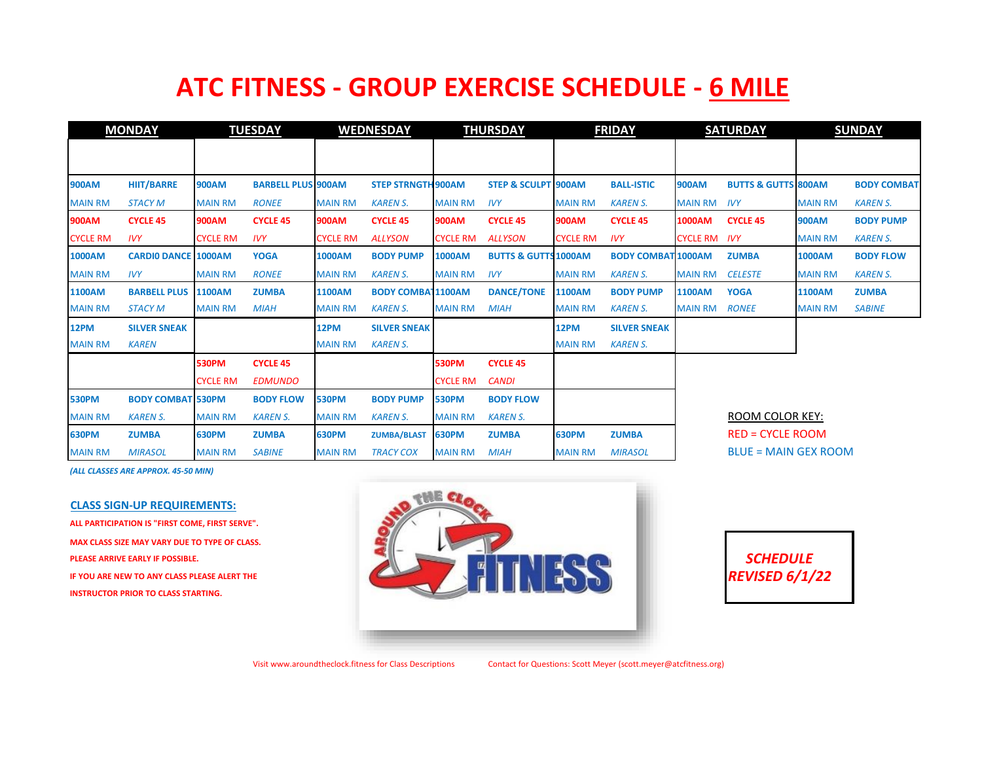## **ATC FITNESS - GROUP EXERCISE SCHEDULE - 6 MILE**

| <b>MONDAY</b>   |                            | <b>TUESDAY</b>  |                           | <b>WEDNESDAY</b> |                           | <b>THURSDAY</b> |                                 | <b>FRIDAY</b>   |                           | <b>SATURDAY</b>     |                                | <b>SUNDAY</b>  |                    |
|-----------------|----------------------------|-----------------|---------------------------|------------------|---------------------------|-----------------|---------------------------------|-----------------|---------------------------|---------------------|--------------------------------|----------------|--------------------|
|                 |                            |                 |                           |                  |                           |                 |                                 |                 |                           |                     |                                |                |                    |
| <b>900AM</b>    | <b>HIIT/BARRE</b>          | <b>900AM</b>    | <b>BARBELL PLUS 900AM</b> |                  | <b>STEP STRNGTH 900AM</b> |                 | <b>STEP &amp; SCULPT 900AM</b>  |                 | <b>BALL-ISTIC</b>         | <b>900AM</b>        | <b>BUTTS &amp; GUTTS 800AM</b> |                | <b>BODY COMBAT</b> |
|                 |                            |                 |                           |                  |                           |                 |                                 |                 |                           |                     |                                |                |                    |
| <b>MAIN RM</b>  | <b>STACY M</b>             | <b>MAIN RM</b>  | <b>RONEE</b>              | <b>MAIN RM</b>   | <b>KAREN S.</b>           | <b>MAIN RM</b>  | <b>IVY</b>                      | <b>MAIN RM</b>  | <b>KAREN S.</b>           | <b>MAIN RM</b>      | <b>IVY</b>                     | <b>MAIN RM</b> | <b>KAREN S.</b>    |
| <b>900AM</b>    | <b>CYCLE 45</b>            | <b>900AM</b>    | <b>CYCLE 45</b>           | <b>900AM</b>     | <b>CYCLE 45</b>           | <b>900AM</b>    | <b>CYCLE 45</b>                 | <b>900AM</b>    | <b>CYCLE 45</b>           | <b>1000AM</b>       | <b>CYCLE 45</b>                | <b>900AM</b>   | <b>BODY PUMP</b>   |
| <b>CYCLE RM</b> | <b>IVY</b>                 | <b>CYCLE RM</b> | <b>IVY</b>                | <b>CYCLE RM</b>  | <b>ALLYSON</b>            | <b>CYCLE RM</b> | <b>ALLYSON</b>                  | <b>CYCLE RM</b> | <b>IVY</b>                | <b>CYCLE RM IVY</b> |                                | <b>MAIN RM</b> | <b>KAREN S.</b>    |
| <b>1000AM</b>   | <b>CARDIO DANCE 1000AM</b> |                 | <b>YOGA</b>               | <b>1000AM</b>    | <b>BODY PUMP</b>          | <b>1000AM</b>   | <b>BUTTS &amp; GUTTS 1000AM</b> |                 | <b>BODY COMBAT 1000AM</b> |                     | <b>ZUMBA</b>                   | <b>1000AM</b>  | <b>BODY FLOW</b>   |
| <b>MAIN RM</b>  | <b>IVY</b>                 | <b>MAIN RM</b>  | <b>RONEE</b>              | <b>MAIN RM</b>   | <b>KAREN S.</b>           | <b>MAIN RM</b>  | <b>IVY</b>                      | <b>MAIN RM</b>  | <b>KAREN S.</b>           | <b>MAIN RM</b>      | <b>CELESTE</b>                 | <b>MAIN RM</b> | <b>KAREN S.</b>    |
| <b>1100AM</b>   | <b>BARBELL PLUS</b>        | <b>1100AM</b>   | <b>ZUMBA</b>              | <b>1100AM</b>    | <b>BODY COMBA 1100AM</b>  |                 | <b>DANCE/TONE</b>               | <b>1100AM</b>   | <b>BODY PUMP</b>          | <b>1100AM</b>       | <b>YOGA</b>                    | 1100AM         | <b>ZUMBA</b>       |
| <b>MAIN RM</b>  | <b>STACY M</b>             | <b>MAIN RM</b>  | <b>MIAH</b>               | <b>MAIN RM</b>   | <b>KAREN S.</b>           | <b>MAIN RM</b>  | <b>MIAH</b>                     | <b>MAIN RM</b>  | <b>KAREN S.</b>           | <b>MAIN RM</b>      | <b>RONEE</b>                   | <b>MAIN RM</b> | <b>SABINE</b>      |
| <b>12PM</b>     | <b>SILVER SNEAK</b>        |                 |                           | 12PM             | <b>SILVER SNEAK</b>       |                 |                                 | 12PM            | <b>SILVER SNEAK</b>       |                     |                                |                |                    |
| <b>MAIN RM</b>  | <b>KAREN</b>               |                 |                           | <b>MAIN RM</b>   | <b>KAREN S.</b>           |                 |                                 | <b>MAIN RM</b>  | <b>KAREN S.</b>           |                     |                                |                |                    |
|                 |                            | <b>530PM</b>    | <b>CYCLE 45</b>           |                  |                           | <b>530PM</b>    | <b>CYCLE 45</b>                 |                 |                           |                     |                                |                |                    |
|                 |                            | <b>CYCLE RM</b> | <b>EDMUNDO</b>            |                  |                           | <b>CYCLE RM</b> | <b>CANDI</b>                    |                 |                           |                     |                                |                |                    |
| <b>530PM</b>    | <b>BODY COMBAT 530PM</b>   |                 | <b>BODY FLOW</b>          | <b>530PM</b>     | <b>BODY PUMP</b>          | <b>530PM</b>    | <b>BODY FLOW</b>                |                 |                           |                     |                                |                |                    |
| <b>MAIN RM</b>  | <b>KAREN S.</b>            | <b>MAIN RM</b>  | <b>KAREN S.</b>           | <b>MAIN RM</b>   | <b>KAREN S.</b>           | <b>MAIN RM</b>  | <b>KAREN S.</b>                 |                 |                           |                     | <b>ROOM COLOR KEY:</b>         |                |                    |
| <b>630PM</b>    | <b>ZUMBA</b>               | <b>630PM</b>    | <b>ZUMBA</b>              | <b>630PM</b>     | <b>ZUMBA/BLAST</b>        | <b>630PM</b>    | <b>ZUMBA</b>                    | <b>630PM</b>    | <b>ZUMBA</b>              |                     | <b>RED = CYCLE ROOM</b>        |                |                    |
| <b>MAIN RM</b>  | <b>MIRASOL</b>             | <b>MAIN RM</b>  | <b>SABINE</b>             | <b>MAIN RM</b>   | <b>TRACY COX</b>          | <b>MAIN RM</b>  | <b>MIAH</b>                     | <b>MAIN RM</b>  | <b>MIRASOL</b>            |                     | <b>BLUE = MAIN GEX ROOM</b>    |                |                    |

*(ALL CLASSES ARE APPROX. 45-50 MIN)*

## **CLASS SIGN-UP REQUIREMENTS:**

**ALL PARTICIPATION IS "FIRST COME, FIRST SERVE". MAX CLASS SIZE MAY VARY DUE TO TYPE OF CLASS. INSTRUCTOR PRIOR TO CLASS STARTING.**





Visit www.aroundtheclock.fitness for Class Descriptions Contact for Questions: Scott Meyer (scott.meyer@atcfitness.org)